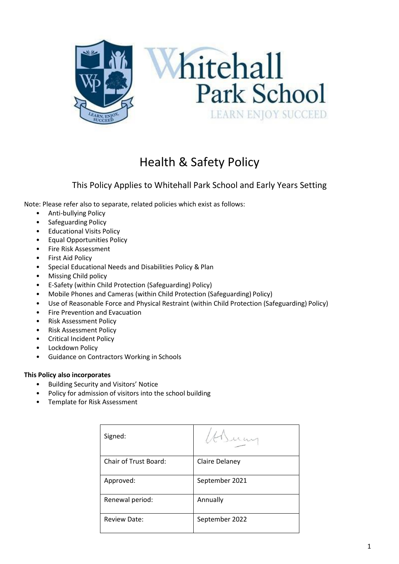

# Health & Safety Policy

This Policy Applies to Whitehall Park School and Early Years Setting

Note: Please refer also to separate, related policies which exist as follows:

- Anti-bullying Policy
- Safeguarding Policy
- Educational Visits Policy
- Equal Opportunities Policy
- Fire Risk Assessment
- First Aid Policy
- Special Educational Needs and Disabilities Policy & Plan
- Missing Child policy
- E-Safety (within Child Protection (Safeguarding) Policy)
- Mobile Phones and Cameras (within Child Protection (Safeguarding) Policy)
- Use of Reasonable Force and Physical Restraint (within Child Protection (Safeguarding) Policy)
- Fire Prevention and Evacuation
- Risk Assessment Policy
- Risk Assessment Policy
- Critical Incident Policy
- **Lockdown Policy**
- Guidance on Contractors Working in Schools

#### **This Policy also incorporates**

- Building Security and Visitors' Notice
- Policy for admission of visitors into the school building
- Template for Risk Assessment

| Signed:               |                |
|-----------------------|----------------|
| Chair of Trust Board: | Claire Delaney |
| Approved:             | September 2021 |
| Renewal period:       | Annually       |
| <b>Review Date:</b>   | September 2022 |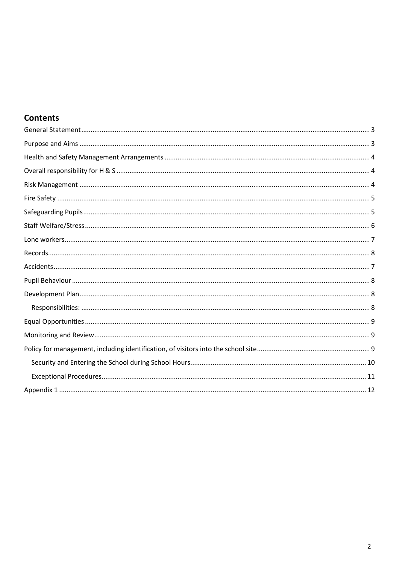## **Contents**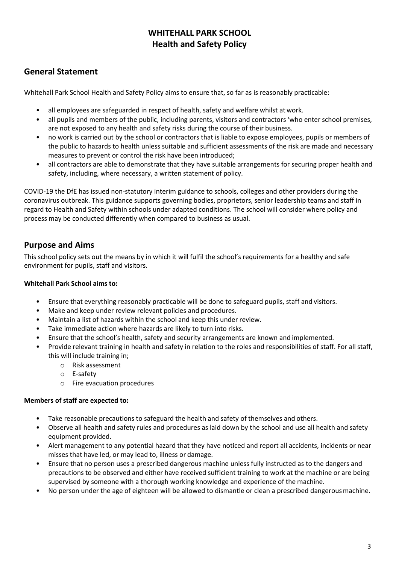# **WHITEHALL PARK SCHOOL Health and Safety Policy**

# <span id="page-2-2"></span><span id="page-2-0"></span>**General Statement**

Whitehall Park School Health and Safety Policy aims to ensure that, so far as is reasonably practicable:

- all employees are safeguarded in respect of health, safety and welfare whilst at work.
- all pupils and members of the public, including parents, visitors and contractors 'who enter school premises, are not exposed to any health and safety risks during the course of their business.
- no work is carried out by the school or contractors that is liable to expose employees, pupils or members of the public to hazards to health unless suitable and sufficient assessments of the risk are made and necessary measures to prevent or control the risk have been introduced;
- all contractors are able to demonstrate that they have suitable arrangements for securing proper health and safety, including, where necessary, a written statement of policy.

COVID-19 the DfE has issued non-statutory interim guidance to schools, colleges and other providers during the coronavirus outbreak. This guidance supports governing bodies, proprietors, senior leadership teams and staff in regard to Health and Safety within schools under adapted conditions. The school will consider where policy and process may be conducted differently when compared to business as usual.

### <span id="page-2-1"></span>**Purpose and Aims**

This school policy sets out the means by in which it will fulfil the school's requirements for a healthy and safe environment for pupils, staff and visitors.

#### **Whitehall Park School aims to:**

- Ensure that everything reasonably practicable will be done to safeguard pupils, staff and visitors.
- Make and keep under review relevant policies and procedures.
- Maintain a list of hazards within the school and keep this under review.
- Take immediate action where hazards are likely to turn into risks.
- Ensure that the school's health, safety and security arrangements are known and implemented.
- Provide relevant training in health and safety in relation to the roles and responsibilities of staff. For all staff, this will include training in;
	- o Risk assessment
	- o E-safety
	- o Fire evacuation procedures

#### **Members of staff are expected to:**

- Take reasonable precautions to safeguard the health and safety of themselves and others.
- Observe all health and safety rules and procedures as laid down by the school and use all health and safety equipment provided.
- Alert management to any potential hazard that they have noticed and report all accidents, incidents or near misses that have led, or may lead to, illness or damage.
- Ensure that no person uses a prescribed dangerous machine unless fully instructed as to the dangers and precautions to be observed and either have received sufficient training to work at the machine or are being supervised by someone with a thorough working knowledge and experience of the machine.
- No person under the age of eighteen will be allowed to dismantle or clean a prescribed dangerousmachine.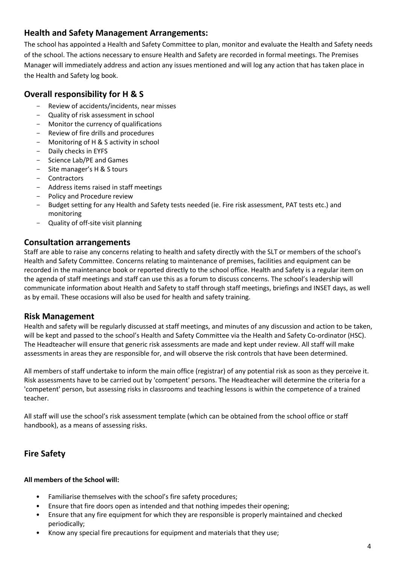## **Health and Safety Management Arrangements:**

The school has appointed a Health and Safety Committee to plan, monitor and evaluate the Health and Safety needs of the school. The actions necessary to ensure Health and Safety are recorded in formal meetings. The Premises Manager will immediately address and action any issues mentioned and will log any action that has taken place in the Health and Safety log book.

## **Overall responsibility for H & S**

- <span id="page-3-0"></span>Review of accidents/incidents, near misses
- Quality of risk assessment in school
- Monitor the currency of qualifications
- Review of fire drills and procedures
- Monitoring of H & S activity in school
- Daily checks in EYFS
- Science Lab/PE and Games
- Site manager's H & S tours
- Contractors
- Address items raised in staff meetings
- Policy and Procedure review
- Budget setting for any Health and Safety tests needed (ie. Fire risk assessment, PAT tests etc.) and monitoring
- <span id="page-3-1"></span>Quality of off-site visit planning

#### **Consultation arrangements**

Staff are able to raise any concerns relating to health and safety directly with the SLT or members of the school's Health and Safety Committee. Concerns relating to maintenance of premises, facilities and equipment can be recorded in the maintenance book or reported directly to the school office. Health and Safety is a regular item on the agenda of staff meetings and staff can use this as a forum to discuss concerns. The school's leadership will communicate information about Health and Safety to staff through staff meetings, briefings and INSET days, as well as by email. These occasions will also be used for health and safety training.

#### **Risk Management**

Health and safety will be regularly discussed at staff meetings, and minutes of any discussion and action to be taken, will be kept and passed to the school's Health and Safety Committee via the Health and Safety Co-ordinator (HSC). The Headteacher will ensure that generic risk assessments are made and kept under review. All staff will make assessments in areas they are responsible for, and will observe the risk controls that have been determined.

All members of staff undertake to inform the main office (registrar) of any potential risk as soon as they perceive it. Risk assessments have to be carried out by 'competent' persons. The Headteacher will determine the criteria for a 'competent' person, but assessing risks in classrooms and teaching lessons is within the competence of a trained teacher.

<span id="page-3-2"></span>All staff will use the school's risk assessment template (which can be obtained from the school office or staff handbook), as a means of assessing risks.

# **Fire Safety**

#### **All members of the School will:**

- Familiarise themselves with the school's fire safety procedures;
- Ensure that fire doors open as intended and that nothing impedes their opening;
- Ensure that any fire equipment for which they are responsible is properly maintained and checked periodically;
- Know any special fire precautions for equipment and materials that they use;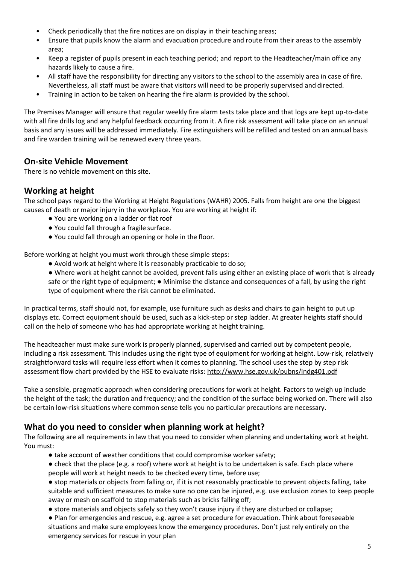- Check periodically that the fire notices are on display in their teaching areas;
- Ensure that pupils know the alarm and evacuation procedure and route from their areas to the assembly area;
- Keep a register of pupils present in each teaching period; and report to the Headteacher/main office any hazards likely to cause a fire.
- All staff have the responsibility for directing any visitors to the school to the assembly area in case of fire. Nevertheless, all staff must be aware that visitors will need to be properly supervised and directed.
- <span id="page-4-0"></span>• Training in action to be taken on hearing the fire alarm is provided by the school.

The Premises Manager will ensure that regular weekly fire alarm tests take place and that logs are kept up-to-date with all fire drills log and any helpful feedback occurring from it. A fire risk assessment will take place on an annual basis and any issues will be addressed immediately. Fire extinguishers will be refilled and tested on an annual basis and fire warden training will be renewed every three years.

### **On-site Vehicle Movement**

There is no vehicle movement on this site.

### **Working at height**

The school pays regard to the Working at Height Regulations (WAHR) 2005. Falls from height are one the biggest causes of death or major injury in the workplace. You are working at height if:

- You are working on a ladder or flat roof
- You could fall through a fragile surface.
- You could fall through an opening or hole in the floor.

Before working at height you must work through these simple steps:

● Avoid work at height where it is reasonably practicable to do so;

● Where work at height cannot be avoided, prevent falls using either an existing place of work that is already safe or the right type of equipment;  $\bullet$  Minimise the distance and consequences of a fall, by using the right type of equipment where the risk cannot be eliminated.

In practical terms, staff should not, for example, use furniture such as desks and chairs to gain height to put up displays etc. Correct equipment should be used, such as a kick-step or step ladder. At greater heights staff should call on the help of someone who has had appropriate working at height training.

The headteacher must make sure work is properly planned, supervised and carried out by competent people, including a risk assessment. This includes using the right type of equipment for working at height. Low-risk, relatively straightforward tasks will require less effort when it comes to planning. The school uses the step by step risk assessment flow chart provided by the HSE to evaluate risks:<http://www.hse.gov.uk/pubns/indg401.pdf>

Take a sensible, pragmatic approach when considering precautions for work at height. Factors to weigh up include the height of the task; the duration and frequency; and the condition of the surface being worked on. There will also be certain low-risk situations where common sense tells you no particular precautions are necessary.

#### **What do you need to consider when planning work at height?**

The following are all requirements in law that you need to consider when planning and undertaking work at height. You must:

- take account of weather conditions that could compromise workersafety;
- check that the place (e.g. a roof) where work at height is to be undertaken is safe. Each place where people will work at height needs to be checked every time, before use;
- stop materials or objects from falling or, if it is not reasonably practicable to prevent objects falling, take suitable and sufficient measures to make sure no one can be injured, e.g. use exclusion zones to keep people away or mesh on scaffold to stop materials such as bricks falling off;
- store materials and objects safely so they won't cause injury if they are disturbed or collapse;

● Plan for emergencies and rescue, e.g. agree a set procedure for evacuation. Think about foreseeable situations and make sure employees know the emergency procedures. Don't just rely entirely on the emergency services for rescue in your plan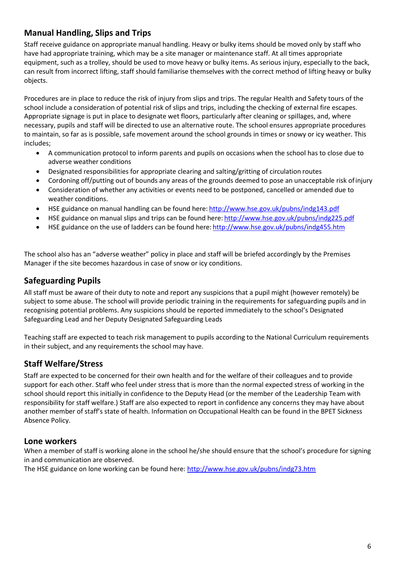# **Manual Handling, Slips and Trips**

Staff receive guidance on appropriate manual handling. Heavy or bulky items should be moved only by staff who have had appropriate training, which may be a site manager or maintenance staff. At all times appropriate equipment, such as a trolley, should be used to move heavy or bulky items. As serious injury, especially to the back, can result from incorrect lifting, staff should familiarise themselves with the correct method of lifting heavy or bulky objects.

Procedures are in place to reduce the risk of injury from slips and trips. The regular Health and Safety tours of the school include a consideration of potential risk of slips and trips, including the checking of external fire escapes. Appropriate signage is put in place to designate wet floors, particularly after cleaning or spillages, and, where necessary, pupils and staff will be directed to use an alternative route. The school ensures appropriate procedures to maintain, so far as is possible, safe movement around the school grounds in times or snowy or icy weather. This includes;

- A communication protocol to inform parents and pupils on occasions when the school has to close due to adverse weather conditions
- Designated responsibilities for appropriate clearing and salting/gritting of circulation routes
- Cordoning off/putting out of bounds any areas of the grounds deemed to pose an unacceptable risk ofinjury
- Consideration of whether any activities or events need to be postponed, cancelled or amended due to weather conditions.
- HSE guidance on manual handling can be found here: <http://www.hse.gov.uk/pubns/indg143.pdf>
- HSE guidance on manual slips and trips can be found here: <http://www.hse.gov.uk/pubns/indg225.pdf>
- HSE guidance on the use of ladders can be found here: <http://www.hse.gov.uk/pubns/indg455.htm>

The school also has an "adverse weather" policy in place and staff will be briefed accordingly by the Premises Manager if the site becomes hazardous in case of snow or icy conditions.

### **Safeguarding Pupils**

All staff must be aware of their duty to note and report any suspicions that a pupil might (however remotely) be subject to some abuse. The school will provide periodic training in the requirements for safeguarding pupils and in recognising potential problems. Any suspicions should be reported immediately to the school's Designated Safeguarding Lead and her Deputy Designated Safeguarding Leads

Teaching staff are expected to teach risk management to pupils according to the National Curriculum requirements in their subject, and any requirements the school may have.

### <span id="page-5-0"></span>**Staff Welfare/Stress**

Staff are expected to be concerned for their own health and for the welfare of their colleagues and to provide support for each other. Staff who feel under stress that is more than the normal expected stress of working in the school should report this initially in confidence to the Deputy Head (or the member of the Leadership Team with responsibility for staff welfare.) Staff are also expected to report in confidence any concerns they may have about another member of staff's state of health. Information on Occupational Health can be found in the BPET Sickness Absence Policy.

#### <span id="page-5-1"></span>**Lone workers**

When a member of staff is working alone in the school he/she should ensure that the school's procedure for signing in and communication are observed.

The HSE guidance on lone working can be found here:<http://www.hse.gov.uk/pubns/indg73.htm>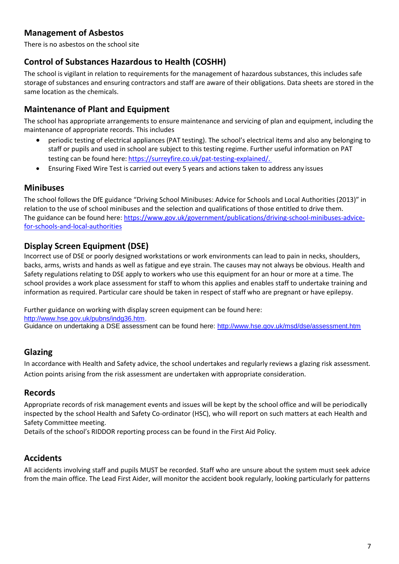# <span id="page-6-0"></span>**Management of Asbestos**

There is no asbestos on the school site

# **Control of Substances Hazardous to Health (COSHH)**

The school is vigilant in relation to requirements for the management of hazardous substances, this includes safe storage of substances and ensuring contractors and staff are aware of their obligations. Data sheets are stored in the same location as the chemicals.

### **Maintenance of Plant and Equipment**

The school has appropriate arrangements to ensure maintenance and servicing of plan and equipment, including the maintenance of appropriate records. This includes

- periodic testing of electrical appliances (PAT testing). The school's electrical items and also any belonging to staff or pupils and used in school are subject to this testing regime. Further useful information on PAT testing can be found here: <https://surreyfire.co.uk/pat-testing-explained/>.
- Ensuring Fixed Wire Test is carried out every 5 years and actions taken to address any issues

#### **Minibuses**

The school follows the DfE guidance "Driving School Minibuses: Advice for Schools and Local Authorities (2013)" in relation to the use of school minibuses and the selection and qualifications of those entitled to drive them. The guidance can be found here: [https://www.gov.uk/government/publications/driving-school-minibuses-advice](https://www.gov.uk/government/publications/driving-school-minibuses-advice-for-schools-and-local-authorities)[for-schools-and-local-authorities](https://www.gov.uk/government/publications/driving-school-minibuses-advice-for-schools-and-local-authorities)

### **Display Screen Equipment (DSE)**

Incorrect use of DSE or poorly designed workstations or work environments can lead to pain in necks, shoulders, backs, arms, wrists and hands as well as fatigue and eye strain. The causes may not always be obvious. Health and Safety regulations relating to DSE apply to workers who use this equipment for an hour or more at a time. The school provides a work place assessment for staff to whom this applies and enables staff to undertake training and information as required. Particular care should be taken in respect of staff who are pregnant or have epilepsy.

Further guidance on working with display screen equipment can be found here: [http://www.hse.gov.uk/pubns/indg36.htm.](http://www.hse.gov.uk/pubns/indg36.htm) Guidance on undertaking a DSE assessment can be found here:<http://www.hse.gov.uk/msd/dse/assessment.htm>

### **Glazing**

In accordance with Health and Safety advice, the school undertakes and regularly reviews a glazing risk assessment. Action points arising from the risk assessment are undertaken with appropriate consideration.

#### **Records**

Appropriate records of risk management events and issues will be kept by the school office and will be periodically inspected by the school Health and Safety Co-ordinator (HSC), who will report on such matters at each Health and Safety Committee meeting.

Details of the school's RIDDOR reporting process can be found in the First Aid Policy.

### <span id="page-6-1"></span>**Accidents**

All accidents involving staff and pupils MUST be recorded. Staff who are unsure about the system must seek advice from the main office. The Lead First Aider, will monitor the accident book regularly, looking particularly for patterns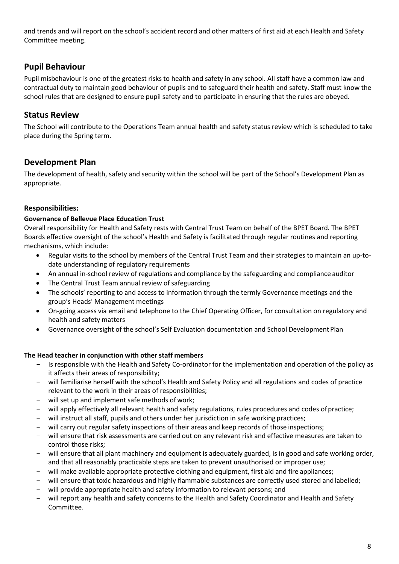and trends and will report on the school's accident record and other matters of first aid at each Health and Safety Committee meeting.

#### <span id="page-7-0"></span>**Pupil Behaviour**

<span id="page-7-1"></span>Pupil misbehaviour is one of the greatest risks to health and safety in any school. All staff have a common law and contractual duty to maintain good behaviour of pupils and to safeguard their health and safety. Staff must know the school rules that are designed to ensure pupil safety and to participate in ensuring that the rules are obeyed.

### **Status Review**

The School will contribute to the Operations Team annual health and safety status review which is scheduled to take place during the Spring term.

### **Development Plan**

The development of health, safety and security within the school will be part of the School's Development Plan as appropriate.

#### <span id="page-7-2"></span>**Responsibilities:**

#### **Governance of Bellevue Place Education Trust**

Overall responsibility for Health and Safety rests with Central Trust Team on behalf of the BPET Board. The BPET Boards effective oversight of the school's Health and Safety is facilitated through regular routines and reporting mechanisms, which include:

- Regular visits to the school by members of the Central Trust Team and their strategies to maintain an up-todate understanding of regulatory requirements
- An annual in-school review of regulations and compliance by the safeguarding and compliance auditor
- The Central Trust Team annual review of safeguarding
- The schools' reporting to and access to information through the termly Governance meetings and the group's Heads' Management meetings
- On-going access via email and telephone to the Chief Operating Officer, for consultation on regulatory and health and safety matters
- Governance oversight of the school's Self Evaluation documentation and School Development Plan

#### **The Head teacher in conjunction with other staff members**

- Is responsible with the Health and Safety Co-ordinator for the implementation and operation of the policy as it affects their areas of responsibility;
- will familiarise herself with the school's Health and Safety Policy and all regulations and codes of practice relevant to the work in their areas of responsibilities;
- will set up and implement safe methods of work;
- will apply effectively all relevant health and safety regulations, rules procedures and codes of practice;
- will instruct all staff, pupils and others under her jurisdiction in safe working practices;
- will carry out regular safety inspections of their areas and keep records of those inspections;
- will ensure that risk assessments are carried out on any relevant risk and effective measures are taken to control those risks;
- will ensure that all plant machinery and equipment is adequately guarded, is in good and safe working order, and that all reasonably practicable steps are taken to prevent unauthorised or improper use;
- will make available appropriate protective clothing and equipment, first aid and fire appliances;
- will ensure that toxic hazardous and highly flammable substances are correctly used stored and labelled;
- will provide appropriate health and safety information to relevant persons; and
- will report any health and safety concerns to the Health and Safety Coordinator and Health and Safety Committee.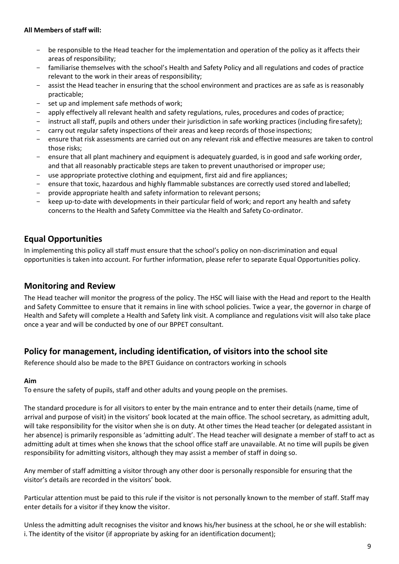#### **All Members of staff will:**

- be responsible to the Head teacher for the implementation and operation of the policy as it affects their areas of responsibility;
- familiarise themselves with the school's Health and Safety Policy and all regulations and codes of practice relevant to the work in their areas of responsibility;
- assist the Head teacher in ensuring that the school environment and practices are as safe as is reasonably practicable;
- set up and implement safe methods of work;
- apply effectively all relevant health and safety regulations, rules, procedures and codes of practice;
- instruct all staff, pupils and others under their jurisdiction in safe working practices (including fire safety);
- carry out regular safety inspections of their areas and keep records of those inspections;
- ensure that risk assessments are carried out on any relevant risk and effective measures are taken to control those risks;
- ensure that all plant machinery and equipment is adequately guarded, is in good and safe working order, and that all reasonably practicable steps are taken to prevent unauthorised or improper use;
- use appropriate protective clothing and equipment, first aid and fire appliances;
- ensure that toxic, hazardous and highly flammable substances are correctly used stored and labelled;
- provide appropriate health and safety information to relevant persons;
- keep up-to-date with developments in their particular field of work; and report any health and safety concerns to the Health and Safety Committee via the Health and Safety Co-ordinator.

#### **Equal Opportunities**

In implementing this policy all staff must ensure that the school's policy on non-discrimination and equal opportunities is taken into account. For further information, please refer to separate Equal Opportunities policy.

#### <span id="page-8-0"></span>**Monitoring and Review**

The Head teacher will monitor the progress of the policy. The HSC will liaise with the Head and report to the Health and Safety Committee to ensure that it remains in line with school policies. Twice a year, the governor in charge of Health and Safety will complete a Health and Safety link visit. A compliance and regulations visit will also take place once a year and will be conducted by one of our BPPET consultant.

#### <span id="page-8-1"></span>**Policy for management, including identification, of visitors into the school site**

Reference should also be made to the BPET Guidance on contractors working in schools

#### **Aim**

To ensure the safety of pupils, staff and other adults and young people on the premises.

The standard procedure is for all visitors to enter by the main entrance and to enter their details (name, time of arrival and purpose of visit) in the visitors' book located at the main office. The school secretary, as admitting adult, will take responsibility for the visitor when she is on duty. At other times the Head teacher (or delegated assistant in her absence) is primarily responsible as 'admitting adult'. The Head teacher will designate a member of staff to act as admitting adult at times when she knows that the school office staff are unavailable. At no time will pupils be given responsibility for admitting visitors, although they may assist a member of staff in doing so.

Any member of staff admitting a visitor through any other door is personally responsible for ensuring that the visitor's details are recorded in the visitors' book.

Particular attention must be paid to this rule if the visitor is not personally known to the member of staff. Staff may enter details for a visitor if they know the visitor.

Unless the admitting adult recognises the visitor and knows his/her business at the school, he or she will establish: i. The identity of the visitor (if appropriate by asking for an identification document);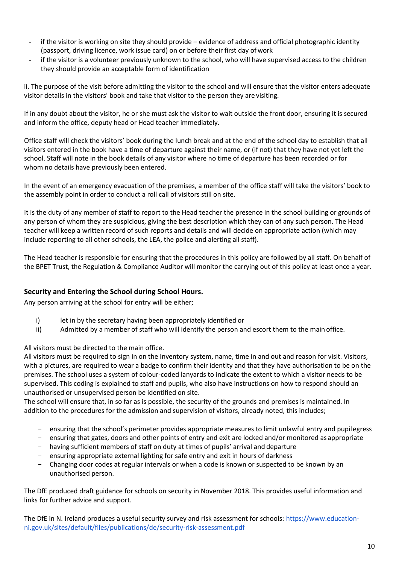- if the visitor is working on site they should provide evidence of address and official photographic identity (passport, driving licence, work issue card) on or before their first day of work
- if the visitor is a volunteer previously unknown to the school, who will have supervised access to the children they should provide an acceptable form of identification

ii. The purpose of the visit before admitting the visitor to the school and will ensure that the visitor enters adequate visitor details in the visitors' book and take that visitor to the person they are visiting.

If in any doubt about the visitor, he or she must ask the visitor to wait outside the front door, ensuring it is secured and inform the office, deputy head or Head teacher immediately.

Office staff will check the visitors' book during the lunch break and at the end of the school day to establish that all visitors entered in the book have a time of departure against their name, or (if not) that they have not yet left the school. Staff will note in the book details of any visitor where no time of departure has been recorded or for whom no details have previously been entered.

In the event of an emergency evacuation of the premises, a member of the office staff will take the visitors' book to the assembly point in order to conduct a roll call of visitors still on site.

It is the duty of any member of staff to report to the Head teacher the presence in the school building or grounds of any person of whom they are suspicious, giving the best description which they can of any such person. The Head teacher will keep a written record of such reports and details and will decide on appropriate action (which may include reporting to all other schools, the LEA, the police and alerting all staff).

The Head teacher is responsible for ensuring that the procedures in this policy are followed by all staff. On behalf of the BPET Trust, the Regulation & Compliance Auditor will monitor the carrying out of this policy at least once a year.

#### <span id="page-9-0"></span>**Security and Entering the School during School Hours.**

Any person arriving at the school for entry will be either;

- i) let in by the secretary having been appropriately identified or
- ii) Admitted by a member of staff who will identify the person and escort them to the main office.

All visitors must be directed to the main office.

All visitors must be required to sign in on the Inventory system, name, time in and out and reason for visit. Visitors, with a pictures, are required to wear a badge to confirm their identity and that they have authorisation to be on the premises. The school uses a system of colour-coded lanyards to indicate the extent to which a visitor needs to be supervised. This coding is explained to staff and pupils, who also have instructions on how to respond should an unauthorised or unsupervised person be identified on site.

The school will ensure that, in so far as is possible, the security of the grounds and premises is maintained. In addition to the procedures for the admission and supervision of visitors, already noted, this includes;

- ensuring that the school's perimeter provides appropriate measures to limit unlawful entry and pupilegress
- ensuring that gates, doors and other points of entry and exit are locked and/or monitored as appropriate
- having sufficient members of staff on duty at times of pupils' arrival and departure
- ensuring appropriate external lighting for safe entry and exit in hours of darkness
- Changing door codes at regular intervals or when a code is known or suspected to be known by an unauthorised person.

The DfE produced draft guidance for schools on security in November 2018. This provides useful information and links for further advice and support.

The DfE in N. Ireland produces a useful security survey and risk assessment for schools[: https://www.education](https://www.education-ni.gov.uk/sites/default/files/publications/de/security-risk-assessment.pdf)[ni.gov.uk/sites/default/files/publications/de/security-risk-assessment.pdf](https://www.education-ni.gov.uk/sites/default/files/publications/de/security-risk-assessment.pdf)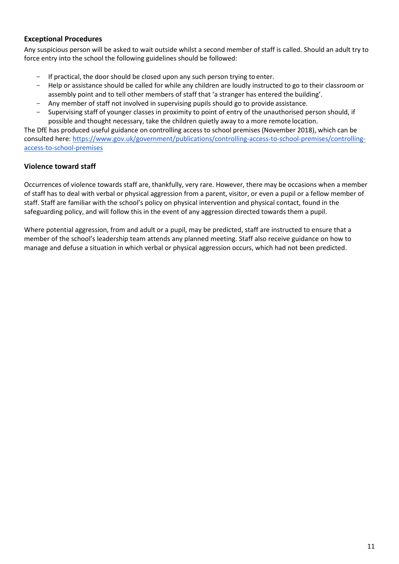#### <span id="page-10-0"></span>**Exceptional Procedures**

Any suspicious person will be asked to wait outside whilst a second member of staff is called. Should an adult try to force entry into the school the following guidelines should be followed:

- If practical, the door should be closed upon any such person trying to enter.
- Help or assistance should be called for while any children are loudly instructed to go to their classroom or assembly point and to tell other members of staff that 'a stranger has entered the building'.
- Any member of staff not involved in supervising pupils should go to provide assistance.
- Supervising staff of younger classes in proximity to point of entry of the unauthorised person should, if possible and thought necessary, take the children quietly away to a more remote location.

The DfE has produced useful guidance on controlling access to school premises (November 2018), which can be consulted here: [https://www.gov.uk/government/publications/controlling-access-to-school-premises/controlling](https://www.gov.uk/government/publications/controlling-access-to-school-premises/controlling-access-to-school-premises)[access-to-school-premises](https://www.gov.uk/government/publications/controlling-access-to-school-premises/controlling-access-to-school-premises)

#### **Violence toward staff**

Occurrences of violence towards staff are, thankfully, very rare. However, there may be occasions when a member of staff has to deal with verbal or physical aggression from a parent, visitor, or even a pupil or a fellow member of staff. Staff are familiar with the school's policy on physical intervention and physical contact, found in the safeguarding policy, and will follow this in the event of any aggression directed towards them a pupil.

Where potential aggression, from and adult or a pupil, may be predicted, staff are instructed to ensure that a member of the school's leadership team attends any planned meeting. Staff also receive guidance on how to manage and defuse a situation in which verbal or physical aggression occurs, which had not been predicted.